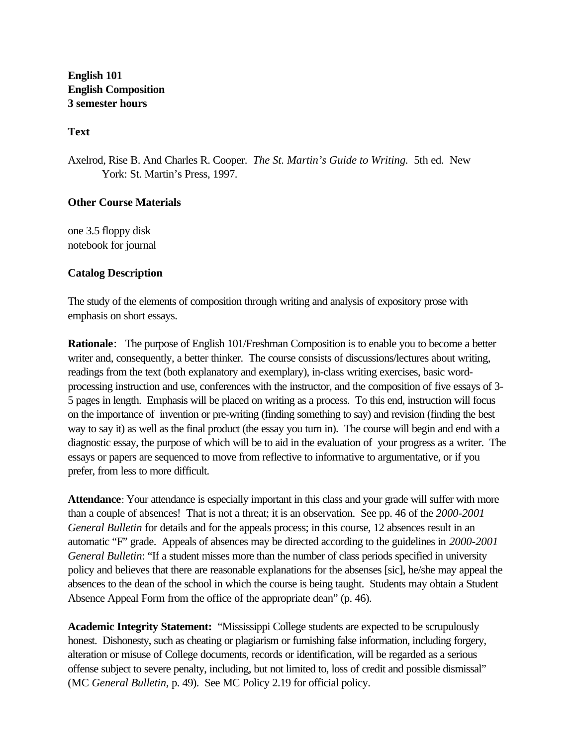**English 101 English Composition 3 semester hours**

**Text**

Axelrod, Rise B. And Charles R. Cooper. *The St. Martin's Guide to Writing.* 5th ed. New York: St. Martin's Press, 1997.

# **Other Course Materials**

one 3.5 floppy disk notebook for journal

# **Catalog Description**

The study of the elements of composition through writing and analysis of expository prose with emphasis on short essays.

**Rationale**: The purpose of English 101/Freshman Composition is to enable you to become a better writer and, consequently, a better thinker. The course consists of discussions/lectures about writing, readings from the text (both explanatory and exemplary), in-class writing exercises, basic wordprocessing instruction and use, conferences with the instructor, and the composition of five essays of 3- 5 pages in length. Emphasis will be placed on writing as a process. To this end, instruction will focus on the importance of invention or pre-writing (finding something to say) and revision (finding the best way to say it) as well as the final product (the essay you turn in). The course will begin and end with a diagnostic essay, the purpose of which will be to aid in the evaluation of your progress as a writer. The essays or papers are sequenced to move from reflective to informative to argumentative, or if you prefer, from less to more difficult.

**Attendance**: Your attendance is especially important in this class and your grade will suffer with more than a couple of absences! That is not a threat; it is an observation. See pp. 46 of the *2000-2001 General Bulletin* for details and for the appeals process; in this course, 12 absences result in an automatic "F" grade. Appeals of absences may be directed according to the guidelines in *2000-2001 General Bulletin*: "If a student misses more than the number of class periods specified in university policy and believes that there are reasonable explanations for the absenses [sic], he/she may appeal the absences to the dean of the school in which the course is being taught. Students may obtain a Student Absence Appeal Form from the office of the appropriate dean" (p. 46).

**Academic Integrity Statement:** "Mississippi College students are expected to be scrupulously honest. Dishonesty, such as cheating or plagiarism or furnishing false information, including forgery, alteration or misuse of College documents, records or identification, will be regarded as a serious offense subject to severe penalty, including, but not limited to, loss of credit and possible dismissal" (MC *General Bulletin,* p. 49). See MC Policy 2.19 for official policy.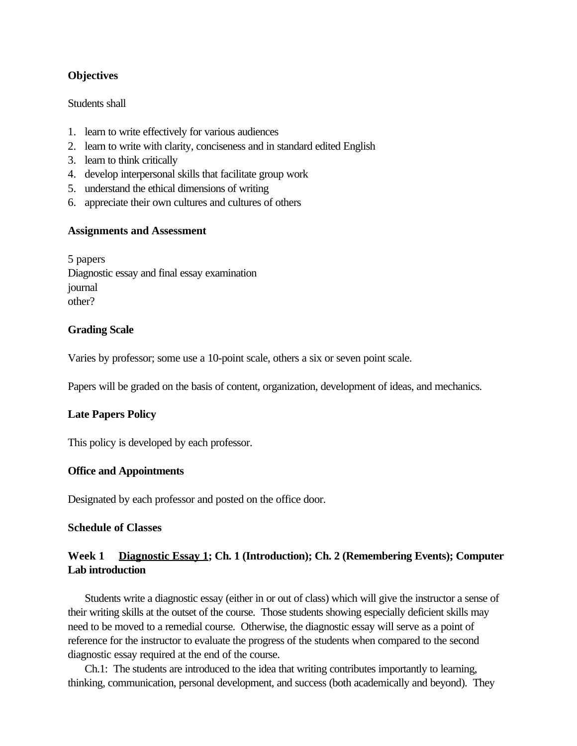# **Objectives**

### Students shall

- 1. learn to write effectively for various audiences
- 2. learn to write with clarity, conciseness and in standard edited English
- 3. learn to think critically
- 4. develop interpersonal skills that facilitate group work
- 5. understand the ethical dimensions of writing
- 6. appreciate their own cultures and cultures of others

# **Assignments and Assessment**

5 papers Diagnostic essay and final essay examination journal other?

# **Grading Scale**

Varies by professor; some use a 10-point scale, others a six or seven point scale.

Papers will be graded on the basis of content, organization, development of ideas, and mechanics.

# **Late Papers Policy**

This policy is developed by each professor.

# **Office and Appointments**

Designated by each professor and posted on the office door.

# **Schedule of Classes**

# **Week 1 Diagnostic Essay 1; Ch. 1 (Introduction); Ch. 2 (Remembering Events); Computer Lab introduction**

Students write a diagnostic essay (either in or out of class) which will give the instructor a sense of their writing skills at the outset of the course. Those students showing especially deficient skills may need to be moved to a remedial course. Otherwise, the diagnostic essay will serve as a point of reference for the instructor to evaluate the progress of the students when compared to the second diagnostic essay required at the end of the course.

Ch.1: The students are introduced to the idea that writing contributes importantly to learning, thinking, communication, personal development, and success (both academically and beyond). They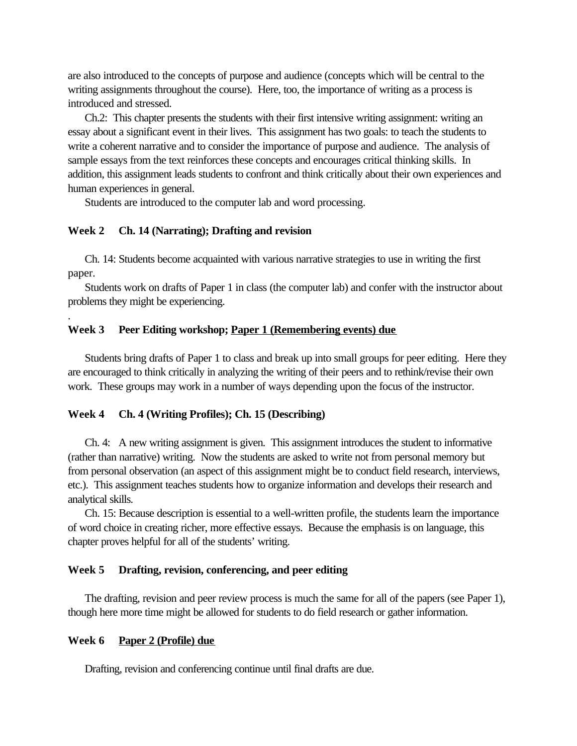are also introduced to the concepts of purpose and audience (concepts which will be central to the writing assignments throughout the course). Here, too, the importance of writing as a process is introduced and stressed.

Ch.2: This chapter presents the students with their first intensive writing assignment: writing an essay about a significant event in their lives. This assignment has two goals: to teach the students to write a coherent narrative and to consider the importance of purpose and audience. The analysis of sample essays from the text reinforces these concepts and encourages critical thinking skills. In addition, this assignment leads students to confront and think critically about their own experiences and human experiences in general.

Students are introduced to the computer lab and word processing.

### **Week 2 Ch. 14 (Narrating); Drafting and revision**

Ch. 14: Students become acquainted with various narrative strategies to use in writing the first paper.

Students work on drafts of Paper 1 in class (the computer lab) and confer with the instructor about problems they might be experiencing.

#### **Week 3 Peer Editing workshop; Paper 1 (Remembering events) due**

Students bring drafts of Paper 1 to class and break up into small groups for peer editing. Here they are encouraged to think critically in analyzing the writing of their peers and to rethink/revise their own work. These groups may work in a number of ways depending upon the focus of the instructor.

### **Week 4 Ch. 4 (Writing Profiles); Ch. 15 (Describing)**

Ch. 4: A new writing assignment is given. This assignment introduces the student to informative (rather than narrative) writing. Now the students are asked to write not from personal memory but from personal observation (an aspect of this assignment might be to conduct field research, interviews, etc.). This assignment teaches students how to organize information and develops their research and analytical skills.

Ch. 15: Because description is essential to a well-written profile, the students learn the importance of word choice in creating richer, more effective essays. Because the emphasis is on language, this chapter proves helpful for all of the students' writing.

#### **Week 5 Drafting, revision, conferencing, and peer editing**

The drafting, revision and peer review process is much the same for all of the papers (see Paper 1), though here more time might be allowed for students to do field research or gather information.

#### **Week 6 Paper 2 (Profile) due**

.

Drafting, revision and conferencing continue until final drafts are due.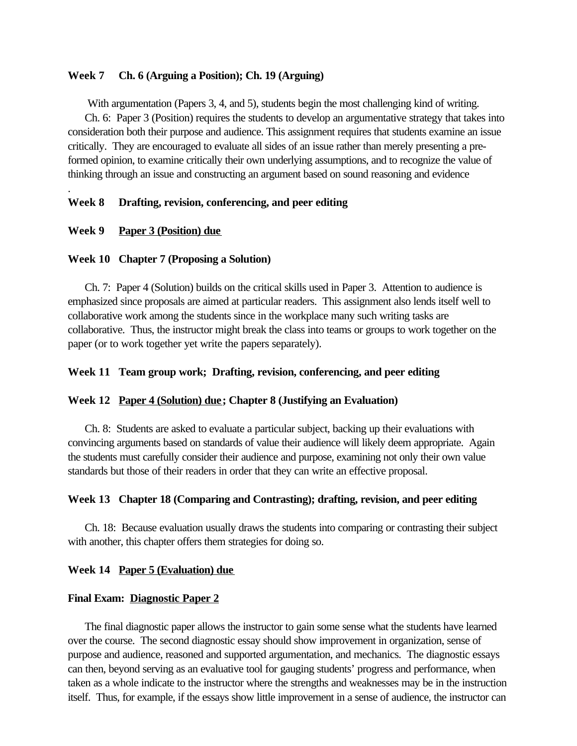### **Week 7 Ch. 6 (Arguing a Position); Ch. 19 (Arguing)**

With argumentation (Papers 3, 4, and 5), students begin the most challenging kind of writing. Ch. 6: Paper 3 (Position) requires the students to develop an argumentative strategy that takes into consideration both their purpose and audience. This assignment requires that students examine an issue critically. They are encouraged to evaluate all sides of an issue rather than merely presenting a preformed opinion, to examine critically their own underlying assumptions, and to recognize the value of thinking through an issue and constructing an argument based on sound reasoning and evidence

# **Week 8 Drafting, revision, conferencing, and peer editing**

#### **Week 9 Paper 3 (Position) due**

.

#### **Week 10 Chapter 7 (Proposing a Solution)**

Ch. 7: Paper 4 (Solution) builds on the critical skills used in Paper 3. Attention to audience is emphasized since proposals are aimed at particular readers. This assignment also lends itself well to collaborative work among the students since in the workplace many such writing tasks are collaborative. Thus, the instructor might break the class into teams or groups to work together on the paper (or to work together yet write the papers separately).

### **Week 11 Team group work; Drafting, revision, conferencing, and peer editing**

#### **Week 12 Paper 4 (Solution) due; Chapter 8 (Justifying an Evaluation)**

Ch. 8: Students are asked to evaluate a particular subject, backing up their evaluations with convincing arguments based on standards of value their audience will likely deem appropriate. Again the students must carefully consider their audience and purpose, examining not only their own value standards but those of their readers in order that they can write an effective proposal.

### **Week 13 Chapter 18 (Comparing and Contrasting); drafting, revision, and peer editing**

Ch. 18: Because evaluation usually draws the students into comparing or contrasting their subject with another, this chapter offers them strategies for doing so.

#### **Week 14 Paper 5 (Evaluation) due**

### **Final Exam: Diagnostic Paper 2**

The final diagnostic paper allows the instructor to gain some sense what the students have learned over the course. The second diagnostic essay should show improvement in organization, sense of purpose and audience, reasoned and supported argumentation, and mechanics. The diagnostic essays can then, beyond serving as an evaluative tool for gauging students' progress and performance, when taken as a whole indicate to the instructor where the strengths and weaknesses may be in the instruction itself. Thus, for example, if the essays show little improvement in a sense of audience, the instructor can